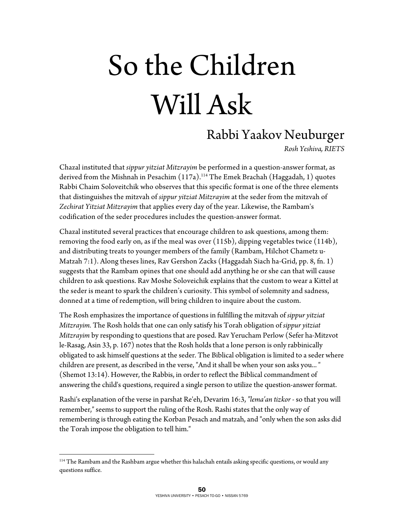## So the Children Will Ask

## Rabbi Yaakov Neuburger

*Rosh Yeshiva, RIETS* 

Chazal instituted that *sippur yitziat Mitzrayim* be performed in a question-answer format, as derived from the Mishnah in Pesachim  $(117a)$ .<sup>114</sup> The Emek Brachah (Haggadah, 1) quotes Rabbi Chaim Soloveitchik who observes that this specific format is one of the three elements that distinguishes the mitzvah of *sippur yitziat Mitzrayim* at the seder from the mitzvah of *Zechirat Yitziat Mitzrayim* that applies every day of the year. Likewise, the Rambam's codification of the seder procedures includes the question-answer format.

Chazal instituted several practices that encourage children to ask questions, among them: removing the food early on, as if the meal was over (115b), dipping vegetables twice (114b), and distributing treats to younger members of the family (Rambam, Hilchot Chametz u-Matzah 7:1). Along theses lines, Rav Gershon Zacks (Haggadah Siach ha-Grid, pp. 8, fn. 1) suggests that the Rambam opines that one should add anything he or she can that will cause children to ask questions. Rav Moshe Soloveichik explains that the custom to wear a Kittel at the seder is meant to spark the children's curiosity. This symbol of solemnity and sadness, donned at a time of redemption, will bring children to inquire about the custom.

The Rosh emphasizes the importance of questions in fulfilling the mitzvah of *sippur yitziat Mitzrayim.* The Rosh holds that one can only satisfy his Torah obligation of *sippur yitziat Mitzrayim* by responding to questions that are posed. Rav Yerucham Perlow (Sefer ha-Mitzvot le-Rasag, Asin 33, p. 167) notes that the Rosh holds that a lone person is only rabbinically obligated to ask himself questions at the seder. The Biblical obligation is limited to a seder where children are present, as described in the verse, "And it shall be when your son asks you... " (Shemot 13:14). However, the Rabbis, in order to reflect the Biblical commandment of answering the child's questions, required a single person to utilize the question-answer format.

Rashi's explanation of the verse in parshat Re'eh, Devarim 16:3, *"lema'an tizkor* - so that you will remember," seems to support the ruling of the Rosh. Rashi states that the only way of remembering is through eating the Korban Pesach and matzah, and "only when the son asks did the Torah impose the obligation to tell him."

 $\overline{a}$ 

<sup>&</sup>lt;sup>114</sup> The Rambam and the Rashbam argue whether this halachah entails asking specific questions, or would any questions suffice.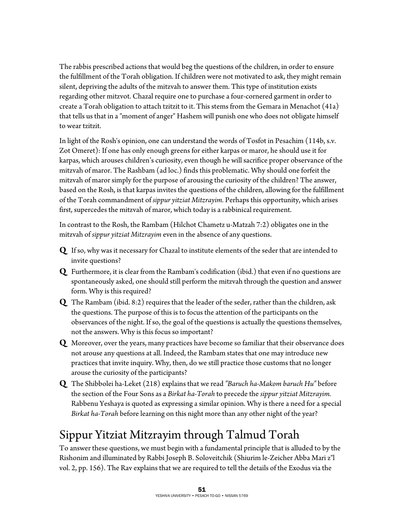The rabbis prescribed actions that would beg the questions of the children, in order to ensure the fulfillment of the Torah obligation. If children were not motivated to ask, they might remain silent, depriving the adults of the mitzvah to answer them. This type of institution exists regarding other mitzvot. Chazal require one to purchase a four-cornered garment in order to create a Torah obligation to attach tzitzit to it. This stems from the Gemara in Menachot (41a) that tells us that in a "moment of anger" Hashem will punish one who does not obligate himself to wear tzitzit.

In light of the Rosh's opinion, one can understand the words of Tosfot in Pesachim (114b, s.v. Zot Omeret): If one has only enough greens for either karpas or maror, he should use it for karpas, which arouses children's curiosity, even though he will sacrifice proper observance of the mitzvah of maror. The Rashbam (ad loc.) finds this problematic. Why should one forfeit the mitzvah of maror simply for the purpose of arousing the curiosity of the children? The answer, based on the Rosh, is that karpas invites the questions of the children, allowing for the fulfillment of the Torah commandment of *sippur yitziat Mitzrayim.* Perhaps this opportunity, which arises first, supercedes the mitzvah of maror, which today is a rabbinical requirement.

In contrast to the Rosh, the Rambam (Hilchot Chametz u-Matzah 7:2) obligates one in the mitzvah of *sippur yitziat Mitzrayim* even in the absence of any questions.

- **Q** If so, why was it necessary for Chazal to institute elements of the seder that are intended to invite questions?
- **Q** Furthermore, it is clear from the Rambam's codification (ibid.) that even if no questions are spontaneously asked, one should still perform the mitzvah through the question and answer form. Why is this required?
- **Q** The Rambam (ibid. 8:2) requires that the leader of the seder, rather than the children, ask the questions. The purpose of this is to focus the attention of the participants on the observances of the night. If so, the goal of the questions is actually the questions themselves, not the answers. Why is this focus so important?
- **Q** Moreover, over the years, many practices have become so familiar that their observance does not arouse any questions at all. Indeed, the Rambam states that one may introduce new practices that invite inquiry. Why, then, do we still practice those customs that no longer arouse the curiosity of the participants?
- **Q** The Shibbolei ha-Leket (218) explains that we read *"Baruch ha-Makom baruch Hu"* before the section of the Four Sons as a *Birkat ha-Torah* to precede the *sippur yitziat Mitzrayim.*  Rabbenu Yeshaya is quoted as expressing a similar opinion. Why is there a need for a special *Birkat ha-Torah* before learning on this night more than any other night of the year?

## Sippur Yitziat Mitzrayim through Talmud Torah

To answer these questions, we must begin with a fundamental principle that is alluded to by the Rishonim and illuminated by Rabbi Joseph B. Soloveitchik (Shiurim le-Zeicher Abba Mari z"l vol. 2, pp. 156). The Rav explains that we are required to tell the details of the Exodus via the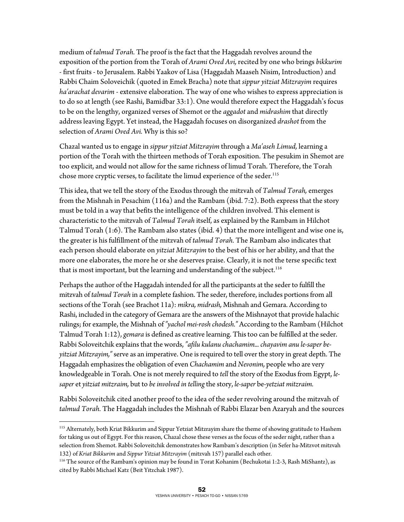medium of *talmud Torah.* The proof is the fact that the Haggadah revolves around the exposition of the portion from the Torah of *Arami Oved Avi,* recited by one who brings *bikkurim*  - first fruits - to Jerusalem. Rabbi Yaakov of Lisa (Haggadah Maaseh Nisim, Introduction) and Rabbi Chaim Soloveichik (quoted in Emek Bracha) note that *sippur yitziat Mitzrayim* requires *ha'arachat devarim* - extensive elaboration. The way of one who wishes to express appreciation is to do so at length (see Rashi, Bamidbar 33:1). One would therefore expect the Haggadah's focus to be on the lengthy, organized verses of Shemot or the *aggadot* and *midrashim* that directly address leaving Egypt. Yet instead, the Haggadah focuses on disorganized *drashot* from the selection of *Arami Oved Avi.* Why is this so?

Chazal wanted us to engage in *sippur yitziat Mitzrayim* through a *Ma'aseh Limud,* learning a portion of the Torah with the thirteen methods of Torah exposition. The pesukim in Shemot are too explicit, and would not allow for the same richness of limud Torah. Therefore, the Torah chose more cryptic verses, to facilitate the limud experience of the seder.<sup>115</sup>

This idea, that we tell the story of the Exodus through the mitzvah of *Talmud Torah,* emerges from the Mishnah in Pesachim (116a) and the Rambam (ibid. 7:2). Both express that the story must be told in a way that befits the intelligence of the children involved. This element is characteristic to the mitzvah of *Talmud Torah* itself, as explained by the Rambam in Hilchot Talmud Torah (1:6). The Rambam also states (ibid. 4) that the more intelligent and wise one is, the greater is his fulfillment of the mitzvah of *talmud Torah.* The Rambam also indicates that each person should elaborate on *yitziat Mitzrayim* to the best of his or her ability, and that the more one elaborates, the more he or she deserves praise. Clearly, it is not the terse specific text that is most important, but the learning and understanding of the subject.<sup>116</sup>

Perhaps the author of the Haggadah intended for all the participants at the seder to fulfill the mitzvah of *talmud Torah* in a complete fashion. The seder, therefore, includes portions from all sections of the Torah (see Brachot 11a): *mikra, midrash,* Mishnah and Gemara. According to Rashi, included in the category of Gemara are the answers of the Mishnayot that provide halachic rulings; for example, the Mishnah of *"yachol mei-rosh chodesh."* According to the Rambam (Hilchot Talmud Torah 1:12), *gemara* is defined as creative learning. This too can be fulfilled at the seder. Rabbi Soloveitchik explains that the words, *"afilu kulanu chachamim... chayavim anu le-saper beyitziat Mitzrayim,"* serve as an imperative. One is required to tell over the story in great depth. The Haggadah emphasizes the obligation of even *Chachamim* and *Nevonim,* people who are very knowledgeable in Torah. One is not merely required to *tell* the story of the Exodus from Egypt, *lesaper* et *yitziat mitzraim,* but to *be involved in telling* the story, *le-saper* be*-yetziat mitzraim.* 

Rabbi Soloveitchik cited another proof to the idea of the seder revolving around the mitzvah of *talmud Torah.* The Haggadah includes the Mishnah of Rabbi Elazar ben Azaryah and the sources

 $\overline{a}$ 

<sup>&</sup>lt;sup>115</sup> Alternately, both Kriat Bikkurim and Sippur Yetziat Mitzrayim share the theme of showing gratitude to Hashem for taking us out of Egypt. For this reason, Chazal chose these verses as the focus of the seder night, rather than a selection from Shemot. Rabbi Soloveitchik demonstrates how Rambam's description (in Sefer ha-Mitzvot mitzvah 132) of *Kriat Bikkurim* and *Sippur Yitziat Mitzrayim* (mitzvah 157) parallel each other.

<sup>116</sup> The source of the Rambam's opinion may be found in Torat Kohanim (Bechukotai 1:2-3, Rash MiShantz), as cited by Rabbi Michael Katz (Beit Yitzchak 1987).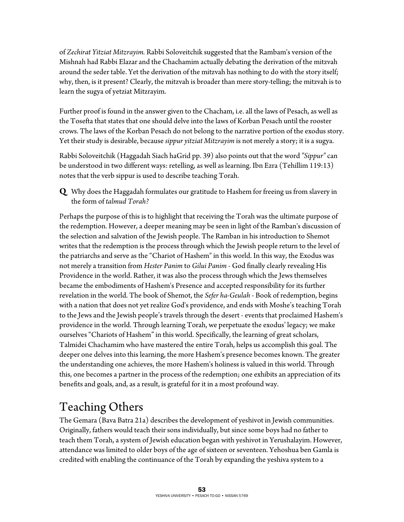of *Zechirat Yitziat Mitzrayim.* Rabbi Soloveitchik suggested that the Rambam's version of the Mishnah had Rabbi Elazar and the Chachamim actually debating the derivation of the mitzvah around the seder table. Yet the derivation of the mitzvah has nothing to do with the story itself; why, then, is it present? Clearly, the mitzvah is broader than mere story-telling; the mitzvah is to learn the sugya of yetziat Mitzrayim.

Further proof is found in the answer given to the Chacham, i.e. all the laws of Pesach, as well as the Tosefta that states that one should delve into the laws of Korban Pesach until the rooster crows. The laws of the Korban Pesach do not belong to the narrative portion of the exodus story. Yet their study is desirable, because *sippur yitziat Mitzrayim* is not merely a story; it is a sugya.

Rabbi Soloveitchik (Haggadah Siach haGrid pp. 39) also points out that the word *"Sippur"* can be understood in two different ways: retelling, as well as learning. Ibn Ezra (Tehillim 119:13) notes that the verb sippur is used to describe teaching Torah.

**Q** Why does the Haggadah formulates our gratitude to Hashem for freeing us from slavery in the form of *talmud Torah?* 

Perhaps the purpose of this is to highlight that receiving the Torah was the ultimate purpose of the redemption. However, a deeper meaning may be seen in light of the Ramban's discussion of the selection and salvation of the Jewish people. The Ramban in his introduction to Shemot writes that the redemption is the process through which the Jewish people return to the level of the patriarchs and serve as the "Chariot of Hashem" in this world. In this way, the Exodus was not merely a transition from *Hester Panim* to *Gilui Panim* - God finally clearly revealing His Providence in the world. Rather, it was also the process through which the Jews themselves became the embodiments of Hashem's Presence and accepted responsibility for its further revelation in the world. The book of Shemot, the *Sefer ha-Geulah* - Book of redemption, begins with a nation that does not yet realize God's providence, and ends with Moshe's teaching Torah to the Jews and the Jewish people's travels through the desert - events that proclaimed Hashem's providence in the world. Through learning Torah, we perpetuate the exodus' legacy; we make ourselves "Chariots of Hashem" in this world. Specifically, the learning of great scholars, Talmidei Chachamim who have mastered the entire Torah, helps us accomplish this goal. The deeper one delves into this learning, the more Hashem's presence becomes known. The greater the understanding one achieves, the more Hashem's holiness is valued in this world. Through this, one becomes a partner in the process of the redemption; one exhibits an appreciation of its benefits and goals, and, as a result, is grateful for it in a most profound way.

## Teaching Others

The Gemara (Bava Batra 21a) describes the development of yeshivot in Jewish communities. Originally, fathers would teach their sons individually, but since some boys had no father to teach them Torah, a system of Jewish education began with yeshivot in Yerushalayim. However, attendance was limited to older boys of the age of sixteen or seventeen. Yehoshua ben Gamla is credited with enabling the continuance of the Torah by expanding the yeshiva system to a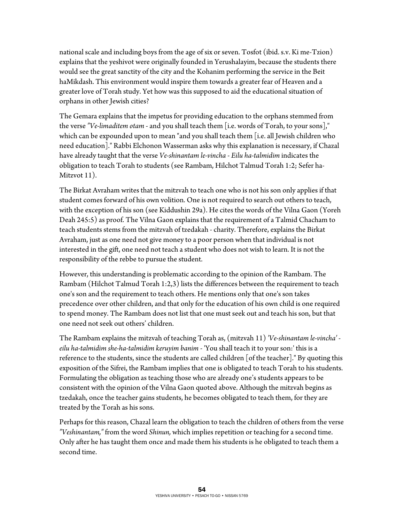national scale and including boys from the age of six or seven. Tosfot (ibid. s.v. Ki me-Tzion) explains that the yeshivot were originally founded in Yerushalayim, because the students there would see the great sanctity of the city and the Kohanim performing the service in the Beit haMikdash. This environment would inspire them towards a greater fear of Heaven and a greater love of Torah study. Yet how was this supposed to aid the educational situation of orphans in other Jewish cities?

The Gemara explains that the impetus for providing education to the orphans stemmed from the verse *"Ve-limaditem otam* - and you shall teach them [i.e. words of Torah, to your sons]," which can be expounded upon to mean "and you shall teach them [i.e. all Jewish children who need education]." Rabbi Elchonon Wasserman asks why this explanation is necessary, if Chazal have already taught that the verse *Ve-shinantam le-vincha* - *Eilu ha-talmidim* indicates the obligation to teach Torah to students (see Rambam, Hilchot Talmud Torah 1:2; Sefer ha-Mitzvot 11).

The Birkat Avraham writes that the mitzvah to teach one who is not his son only applies if that student comes forward of his own volition. One is not required to search out others to teach, with the exception of his son (see Kiddushin 29a). He cites the words of the Vilna Gaon (Yoreh Deah 245:5) as proof. The Vilna Gaon explains that the requirement of a Talmid Chacham to teach students stems from the mitzvah of tzedakah - charity. Therefore, explains the Birkat Avraham, just as one need not give money to a poor person when that individual is not interested in the gift, one need not teach a student who does not wish to learn. It is not the responsibility of the rebbe to pursue the student.

However, this understanding is problematic according to the opinion of the Rambam. The Rambam (Hilchot Talmud Torah 1:2,3) lists the differences between the requirement to teach one's son and the requirement to teach others. He mentions only that one's son takes precedence over other children, and that only for the education of his own child is one required to spend money. The Rambam does not list that one must seek out and teach his son, but that one need not seek out others' children.

The Rambam explains the mitzvah of teaching Torah as, (mitzvah 11) *'Ve-shinantam le-vincha' eilu ha-talmidim she-ha-talmidim keruyim banim* - 'You shall teach it to your son:' this is a reference to the students, since the students are called children [of the teacher]." By quoting this exposition of the Sifrei, the Rambam implies that one is obligated to teach Torah to his students. Formulating the obligation as teaching those who are already one's students appears to be consistent with the opinion of the Vilna Gaon quoted above. Although the mitzvah begins as tzedakah, once the teacher gains students, he becomes obligated to teach them, for they are treated by the Torah as his sons.

Perhaps for this reason, Chazal learn the obligation to teach the children of others from the verse *"Veshinantam,"* from the word *Shinun,* which implies repetition or teaching for a second time. Only after he has taught them once and made them his students is he obligated to teach them a second time.